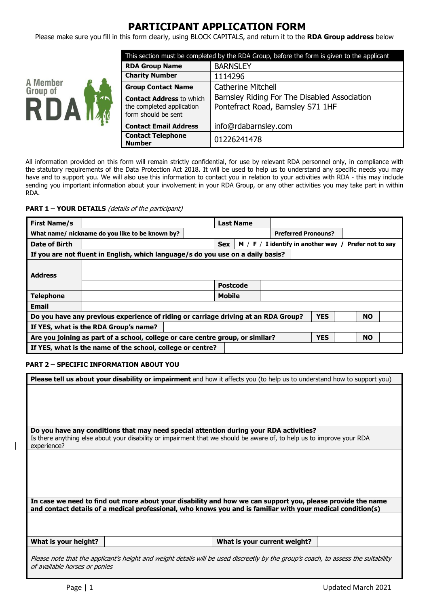# **PARTICIPANT APPLICATION FORM**

Please make sure you fill in this form clearly, using BLOCK CAPITALS, and return it to the **RDA Group address** below



| This section must be completed by the RDA Group, before the form is given to the applicant |                                                                                   |  |  |
|--------------------------------------------------------------------------------------------|-----------------------------------------------------------------------------------|--|--|
| <b>RDA Group Name</b>                                                                      | <b>BARNSLEY</b>                                                                   |  |  |
| <b>Charity Number</b>                                                                      | 1114296                                                                           |  |  |
| <b>Group Contact Name</b>                                                                  | <b>Catherine Mitchell</b>                                                         |  |  |
| <b>Contact Address to which</b><br>the completed application<br>form should be sent        | Barnsley Riding For The Disabled Association<br>Pontefract Road, Barnsley S71 1HF |  |  |
| <b>Contact Email Address</b>                                                               | info@rdabarnsley.com                                                              |  |  |
| <b>Contact Telephone</b><br><b>Number</b>                                                  | 01226241478                                                                       |  |  |

All information provided on this form will remain strictly confidential, for use by relevant RDA personnel only, in compliance with the statutory requirements of the Data Protection Act 2018. It will be used to help us to understand any specific needs you may have and to support you. We will also use this information to contact you in relation to your activities with RDA - this may include sending you important information about your involvement in your RDA Group, or any other activities you may take part in within RDA.

## **PART 1 – YOUR DETAILS** (details of the participant)

| <b>First Name/s</b>                                                                                       |                                                                                                               |            | <b>Last Name</b> |                                       |                          |  |
|-----------------------------------------------------------------------------------------------------------|---------------------------------------------------------------------------------------------------------------|------------|------------------|---------------------------------------|--------------------------|--|
|                                                                                                           | What name/ nickname do you like to be known by?                                                               |            |                  | <b>Preferred Pronouns?</b>            |                          |  |
| Date of Birth                                                                                             |                                                                                                               | <b>Sex</b> |                  | $M / F / I$ identify in another way / | <b>Prefer not to sav</b> |  |
|                                                                                                           | If you are not fluent in English, which language/s do you use on a daily basis?                               |            |                  |                                       |                          |  |
|                                                                                                           |                                                                                                               |            |                  |                                       |                          |  |
| <b>Address</b>                                                                                            |                                                                                                               |            |                  |                                       |                          |  |
|                                                                                                           |                                                                                                               |            | <b>Postcode</b>  |                                       |                          |  |
| <b>Telephone</b>                                                                                          |                                                                                                               |            | <b>Mobile</b>    |                                       |                          |  |
| <b>Email</b>                                                                                              |                                                                                                               |            |                  |                                       |                          |  |
|                                                                                                           | Do you have any previous experience of riding or carriage driving at an RDA Group?<br><b>NO</b><br><b>YES</b> |            |                  |                                       |                          |  |
| If YES, what is the RDA Group's name?                                                                     |                                                                                                               |            |                  |                                       |                          |  |
| <b>NO</b><br>Are you joining as part of a school, college or care centre group, or similar?<br><b>YES</b> |                                                                                                               |            |                  |                                       |                          |  |
|                                                                                                           | If YES, what is the name of the school, college or centre?                                                    |            |                  |                                       |                          |  |

#### **PART 2 – SPECIFIC INFORMATION ABOUT YOU**

|                                                                                                                       | Please tell us about your disability or impairment and how it affects you (to help us to understand how to support you)            |
|-----------------------------------------------------------------------------------------------------------------------|------------------------------------------------------------------------------------------------------------------------------------|
|                                                                                                                       |                                                                                                                                    |
|                                                                                                                       |                                                                                                                                    |
|                                                                                                                       |                                                                                                                                    |
|                                                                                                                       |                                                                                                                                    |
|                                                                                                                       |                                                                                                                                    |
|                                                                                                                       |                                                                                                                                    |
| Do you have any conditions that may need special attention during your RDA activities?                                |                                                                                                                                    |
|                                                                                                                       |                                                                                                                                    |
| Is there anything else about your disability or impairment that we should be aware of, to help us to improve your RDA |                                                                                                                                    |
| experience?                                                                                                           |                                                                                                                                    |
|                                                                                                                       |                                                                                                                                    |
|                                                                                                                       |                                                                                                                                    |
|                                                                                                                       |                                                                                                                                    |
|                                                                                                                       |                                                                                                                                    |
|                                                                                                                       |                                                                                                                                    |
|                                                                                                                       |                                                                                                                                    |
|                                                                                                                       |                                                                                                                                    |
| In case we need to find out more about your disability and how we can support you, please provide the name            |                                                                                                                                    |
| and contact details of a medical professional, who knows you and is familiar with your medical condition(s)           |                                                                                                                                    |
|                                                                                                                       |                                                                                                                                    |
|                                                                                                                       |                                                                                                                                    |
|                                                                                                                       |                                                                                                                                    |
|                                                                                                                       |                                                                                                                                    |
| What is your height?                                                                                                  | What is your current weight?                                                                                                       |
|                                                                                                                       |                                                                                                                                    |
|                                                                                                                       |                                                                                                                                    |
|                                                                                                                       | Please note that the applicant's height and weight details will be used discreetly by the group's coach, to assess the suitability |
| of available horses or ponies                                                                                         |                                                                                                                                    |
|                                                                                                                       |                                                                                                                                    |